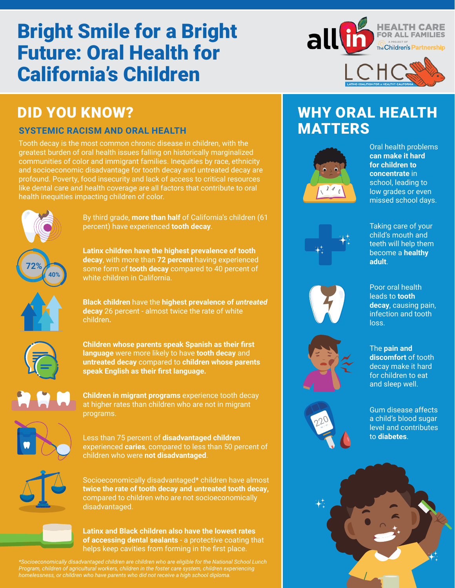# Bright Smile for a Bright Future: Oral Health for California's Children



# DID YOU KNOW?

#### **SYSTEMIC RACISM AND ORAL HEALTH**

Tooth decay is the most common chronic disease in children, with the greatest burden of oral health issues falling on historically marginalized communities of color and immigrant families. Inequities by race, ethnicity and socioeconomic disadvantage for tooth decay and untreated decay are profound. Poverty, food insecurity and lack of access to critical resources like dental care and health coverage are all factors that contribute to oral health inequities impacting children of color.

white children in California.

**72% 40%** By third grade, **more than half** of California's children (61 percent) have experienced **tooth decay**.

**Latinx children have the highest prevalence of tooth decay**, with more than **72 percent** having experienced some form of **tooth decay** compared to 40 percent of

**Black children** have the **highest prevalence of** *untreated* **decay** 26 percent - almost twice the rate of white children**.** 



**Children whose parents speak Spanish as their first language** were more likely to have **tooth decay** and **untreated decay** compared to **children whose parents speak English as their first language.** 

**Children in migrant programs** experience tooth decay at higher rates than children who are not in migrant programs.



Less than 75 percent of **disadvantaged children**  experienced **caries**, compared to less than 50 percent of children who were **not disadvantaged**.



Socioeconomically disadvantaged\* children have almost **twice the rate of tooth decay and untreated tooth decay,** compared to children who are not socioeconomically disadvantaged.



**Latinx and Black children also have the lowest rates of accessing dental sealants** - a protective coating that helps keep cavities from forming in the first place.

*\*Socioeconomically disadvantaged children are children who are eligible for the National School Lunch Program, children of agricultural workers, children in the foster care system, children experiencing homelessness, or children who have parents who did not receive a high school diploma.* 

# WHY ORAL HEALTH MATTERS



Oral health problems **can make it hard for children to concentrate** in school, leading to low grades or even missed school days.



Taking care of your child's mouth and teeth will help them become a **healthy adult**.

Poor oral health leads to **tooth decay**, causing pain, infection and tooth

loss.







The **pain and discomfort** of tooth decay make it hard for children to eat and sleep well.

Gum disease affects a child's blood sugar level and contributes to **diabetes**.